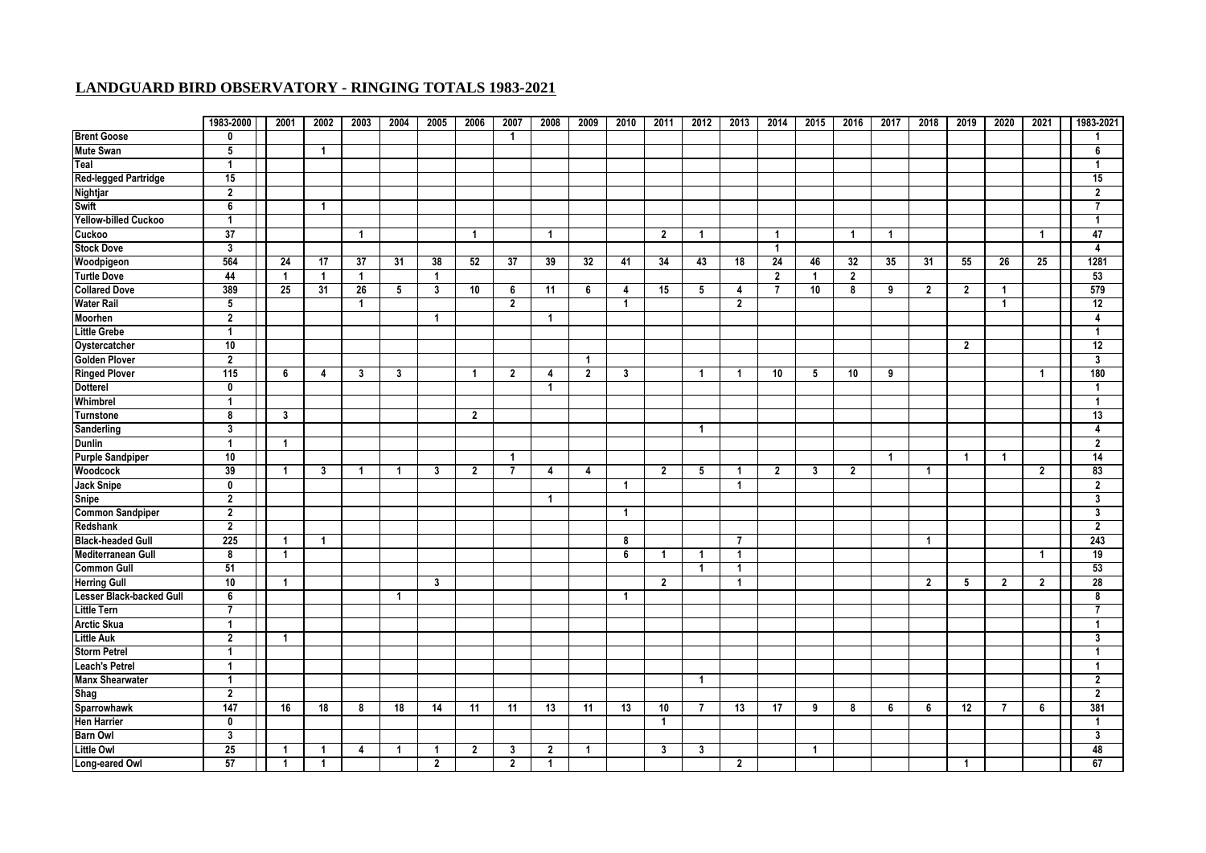|                                 | 1983-2000        | 2001                    | 2002           | 2003           | 2004         | 2005           | 2006            | 2007           | 2008           | 2009           | 2010         | 2011           | 2012                    | 2013           | 2014            | 2015                    | 2016           | 2017 | 2018           | 2019                    | 2020           | 2021            | 1983-2021               |
|---------------------------------|------------------|-------------------------|----------------|----------------|--------------|----------------|-----------------|----------------|----------------|----------------|--------------|----------------|-------------------------|----------------|-----------------|-------------------------|----------------|------|----------------|-------------------------|----------------|-----------------|-------------------------|
| <b>Brent Goose</b>              | $\mathbf 0$      |                         |                |                |              |                |                 | $\overline{1}$ |                |                |              |                |                         |                |                 |                         |                |      |                |                         |                |                 |                         |
| <b>Mute Swan</b>                | 5                |                         | 1              |                |              |                |                 |                |                |                |              |                |                         |                |                 |                         |                |      |                |                         |                |                 | 6                       |
| Teal                            | $\mathbf{1}$     |                         |                |                |              |                |                 |                |                |                |              |                |                         |                |                 |                         |                |      |                |                         |                |                 | $\overline{1}$          |
| <b>Red-legged Partridge</b>     | 15               |                         |                |                |              |                |                 |                |                |                |              |                |                         |                |                 |                         |                |      |                |                         |                |                 | 15                      |
| <b>Nightjar</b>                 | $\overline{2}$   |                         |                |                |              |                |                 |                |                |                |              |                |                         |                |                 |                         |                |      |                |                         |                |                 | $\overline{2}$          |
| <b>Swift</b>                    | 6                |                         | $\mathbf{1}$   |                |              |                |                 |                |                |                |              |                |                         |                |                 |                         |                |      |                |                         |                |                 | 7                       |
| <b>Yellow-billed Cuckoo</b>     | $\mathbf{1}$     |                         |                |                |              |                |                 |                |                |                |              |                |                         |                |                 |                         |                |      |                |                         |                |                 | -1                      |
| Cuckoo                          | 37               |                         |                | $\mathbf{1}$   |              |                | $\overline{1}$  |                | $\overline{1}$ |                |              | $\overline{2}$ | $\mathbf{1}$            |                | $\overline{1}$  |                         | $\mathbf{1}$   | 1    |                |                         |                | -1              | 47                      |
| <b>Stock Dove</b>               | 3                |                         |                |                |              |                |                 |                |                |                |              |                |                         |                | $\mathbf{1}$    |                         |                |      |                |                         |                |                 | 4                       |
| Woodpigeon                      | 564              | 24                      | 17             | 37             | 31           | 38             | $\overline{52}$ | 37             | 39             | 32             | 41           | 34             | 43                      | 18             | 24              | 46                      | 32             | 35   | 31             | 55                      | 26             | $\overline{25}$ | 1281                    |
| <b>Turtle Dove</b>              | 44               | $\overline{1}$          | $\mathbf{1}$   | $\overline{1}$ |              | $\overline{1}$ |                 |                |                |                |              |                |                         |                | $\overline{2}$  | -1                      | $\overline{2}$ |      |                |                         |                |                 | 53                      |
| <b>Collared Dove</b>            | 389              | 25                      | 31             | 26             | 5            | 3              | 10              | 6              | 11             | 6              | 4            | 15             | 5                       | 4              | $\overline{7}$  | 10                      | 8              | 9    | $\overline{2}$ | $\overline{2}$          | $\overline{1}$ |                 | 579                     |
| <b>Water Rail</b>               | $5\phantom{.0}$  |                         |                | $\mathbf{1}$   |              |                |                 | $\overline{2}$ |                |                | $\mathbf{1}$ |                |                         | $\mathbf{2}$   |                 |                         |                |      |                |                         | $\mathbf{1}$   |                 | 12                      |
| Moorhen                         | $\overline{2}$   |                         |                |                |              | $\mathbf{1}$   |                 |                | $\overline{1}$ |                |              |                |                         |                |                 |                         |                |      |                |                         |                |                 | 4                       |
| <b>Little Grebe</b>             | $\mathbf{1}$     |                         |                |                |              |                |                 |                |                |                |              |                |                         |                |                 |                         |                |      |                |                         |                |                 | $\overline{1}$          |
| Oystercatcher                   | 10               |                         |                |                |              |                |                 |                |                |                |              |                |                         |                |                 |                         |                |      |                | $\overline{2}$          |                |                 | 12                      |
| <b>Golden Plover</b>            | $\overline{2}$   |                         |                |                |              |                |                 |                |                | $\overline{1}$ |              |                |                         |                |                 |                         |                |      |                |                         |                |                 | $\mathbf{3}$            |
| <b>Ringed Plover</b>            | 115              | 6                       | 4              | 3              | 3            |                | $\overline{1}$  | $\overline{2}$ | 4              | $\overline{2}$ | 3            |                | $\mathbf{1}$            | $\mathbf{1}$   | 10              | 5                       | 10             | 9    |                |                         |                | 1               | 180                     |
| <b>Dotterel</b>                 | 0                |                         |                |                |              |                |                 |                | $\overline{1}$ |                |              |                |                         |                |                 |                         |                |      |                |                         |                |                 | -1                      |
| Whimbrel                        | $\mathbf{1}$     |                         |                |                |              |                |                 |                |                |                |              |                |                         |                |                 |                         |                |      |                |                         |                |                 | $\overline{1}$          |
| <b>Turnstone</b>                | 8                | 3                       |                |                |              |                | $\overline{2}$  |                |                |                |              |                |                         |                |                 |                         |                |      |                |                         |                |                 | 13                      |
| <b>Sanderling</b>               | $\mathbf{3}$     |                         |                |                |              |                |                 |                |                |                |              |                | $\overline{1}$          |                |                 |                         |                |      |                |                         |                |                 | $\overline{4}$          |
| <b>Dunlin</b>                   | $\mathbf{1}$     | $\overline{1}$          |                |                |              |                |                 |                |                |                |              |                |                         |                |                 |                         |                |      |                |                         |                |                 | $\overline{\mathbf{2}}$ |
| <b>Purple Sandpiper</b>         | 10               |                         |                |                |              |                |                 | $\mathbf{1}$   |                |                |              |                |                         |                |                 |                         |                | 1    |                | $\overline{1}$          | $\overline{1}$ |                 | 14                      |
| <b>Woodcock</b>                 | 39               | $\overline{1}$          | 3              | $\mathbf{1}$   | $\mathbf{1}$ | 3              | $\overline{2}$  | $\overline{1}$ | $\overline{4}$ | $\overline{4}$ |              | $\overline{2}$ | $\overline{\mathbf{5}}$ | $\mathbf{1}$   | $\mathbf{2}$    | $\overline{\mathbf{3}}$ | $\overline{2}$ |      | -1             |                         |                | $\overline{2}$  | 83                      |
| <b>Jack Snipe</b>               | 0                |                         |                |                |              |                |                 |                |                |                | -1           |                |                         | $\overline{1}$ |                 |                         |                |      |                |                         |                |                 | $\overline{2}$          |
| <b>Snipe</b>                    | $\mathbf{2}$     |                         |                |                |              |                |                 |                | $\overline{1}$ |                |              |                |                         |                |                 |                         |                |      |                |                         |                |                 | 3                       |
| <b>Common Sandpiper</b>         | $\overline{2}$   |                         |                |                |              |                |                 |                |                |                | $\mathbf{1}$ |                |                         |                |                 |                         |                |      |                |                         |                |                 | 3                       |
| Redshank                        | $\overline{2}$   |                         |                |                |              |                |                 |                |                |                |              |                |                         |                |                 |                         |                |      |                |                         |                |                 | $\overline{2}$          |
| <b>Black-headed Gull</b>        | $\overline{225}$ | $\overline{\mathbf{1}}$ | $\overline{1}$ |                |              |                |                 |                |                |                | 8            |                |                         | $\overline{7}$ |                 |                         |                |      | $\overline{1}$ |                         |                |                 | $\overline{243}$        |
| <b>Mediterranean Gull</b>       | 8                | $\overline{1}$          |                |                |              |                |                 |                |                |                | 6            | $\overline{1}$ | $\mathbf{1}$            | $\mathbf{1}$   |                 |                         |                |      |                |                         |                | $\overline{1}$  | 19                      |
| <b>Common Gull</b>              | 51               |                         |                |                |              |                |                 |                |                |                |              |                | $\overline{1}$          | $\overline{1}$ |                 |                         |                |      |                |                         |                |                 | 53                      |
| <b>Herring Gull</b>             | 10               | -1                      |                |                |              | $\mathbf{3}$   |                 |                |                |                |              | $\overline{2}$ |                         | $\overline{1}$ |                 |                         |                |      | $\mathbf{2}$   | 5                       | $\overline{2}$ | $\mathbf{2}$    | 28                      |
| <b>Lesser Black-backed Gull</b> | 6                |                         |                |                | $\mathbf{1}$ |                |                 |                |                |                | $\mathbf{1}$ |                |                         |                |                 |                         |                |      |                |                         |                |                 | 8                       |
| <b>Little Tern</b>              | $\overline{7}$   |                         |                |                |              |                |                 |                |                |                |              |                |                         |                |                 |                         |                |      |                |                         |                |                 |                         |
| <b>Arctic Skua</b>              | $\mathbf{1}$     |                         |                |                |              |                |                 |                |                |                |              |                |                         |                |                 |                         |                |      |                |                         |                |                 | -1                      |
| <b>Little Auk</b>               | $\overline{2}$   | $\overline{1}$          |                |                |              |                |                 |                |                |                |              |                |                         |                |                 |                         |                |      |                |                         |                |                 | $\mathbf{3}$            |
| <b>Storm Petrel</b>             | $\mathbf{1}$     |                         |                |                |              |                |                 |                |                |                |              |                |                         |                |                 |                         |                |      |                |                         |                |                 | -1                      |
| Leach's Petrel                  | $\mathbf{1}$     |                         |                |                |              |                |                 |                |                |                |              |                |                         |                |                 |                         |                |      |                |                         |                |                 | $\overline{\mathbf{1}}$ |
| <b>Manx Shearwater</b>          | $\mathbf{1}$     |                         |                |                |              |                |                 |                |                |                |              |                | $\mathbf{1}$            |                |                 |                         |                |      |                |                         |                |                 | $\overline{2}$          |
| <b>Shag</b>                     | $\overline{2}$   |                         |                |                |              |                |                 |                |                |                |              |                |                         |                |                 |                         |                |      |                |                         |                |                 | $\overline{2}$          |
| <b>Sparrowhawk</b>              | 147              | 16                      | 18             | 8              | 18           | 14             | 11              | 11             | 13             | 11             | 13           | 10             | $\overline{7}$          | 13             | $\overline{17}$ | 9                       | 8              | 6    | 6              | 12                      | $\overline{7}$ | 6               | 381                     |
| <b>Hen Harrier</b>              | $\mathbf 0$      |                         |                |                |              |                |                 |                |                |                |              | $\overline{1}$ |                         |                |                 |                         |                |      |                |                         |                |                 | -1                      |
| <b>Barn Owl</b>                 | 3                |                         |                |                |              |                |                 |                |                |                |              |                |                         |                |                 |                         |                |      |                |                         |                |                 | 3                       |
| <b>Little Owl</b>               | 25               | $\mathbf{1}$            | -1             | 4              | $\mathbf{1}$ | -1             | $\overline{2}$  | 3              | 2              | -1             |              | 3              | 3                       |                |                 | $\mathbf{1}$            |                |      |                |                         |                |                 | 48                      |
| Long-eared Owl                  | 57               | $\overline{1}$          |                |                |              | $\overline{2}$ |                 | $\overline{2}$ | $\overline{1}$ |                |              |                |                         | $\overline{2}$ |                 |                         |                |      |                | $\overline{\mathbf{1}}$ |                |                 | 67                      |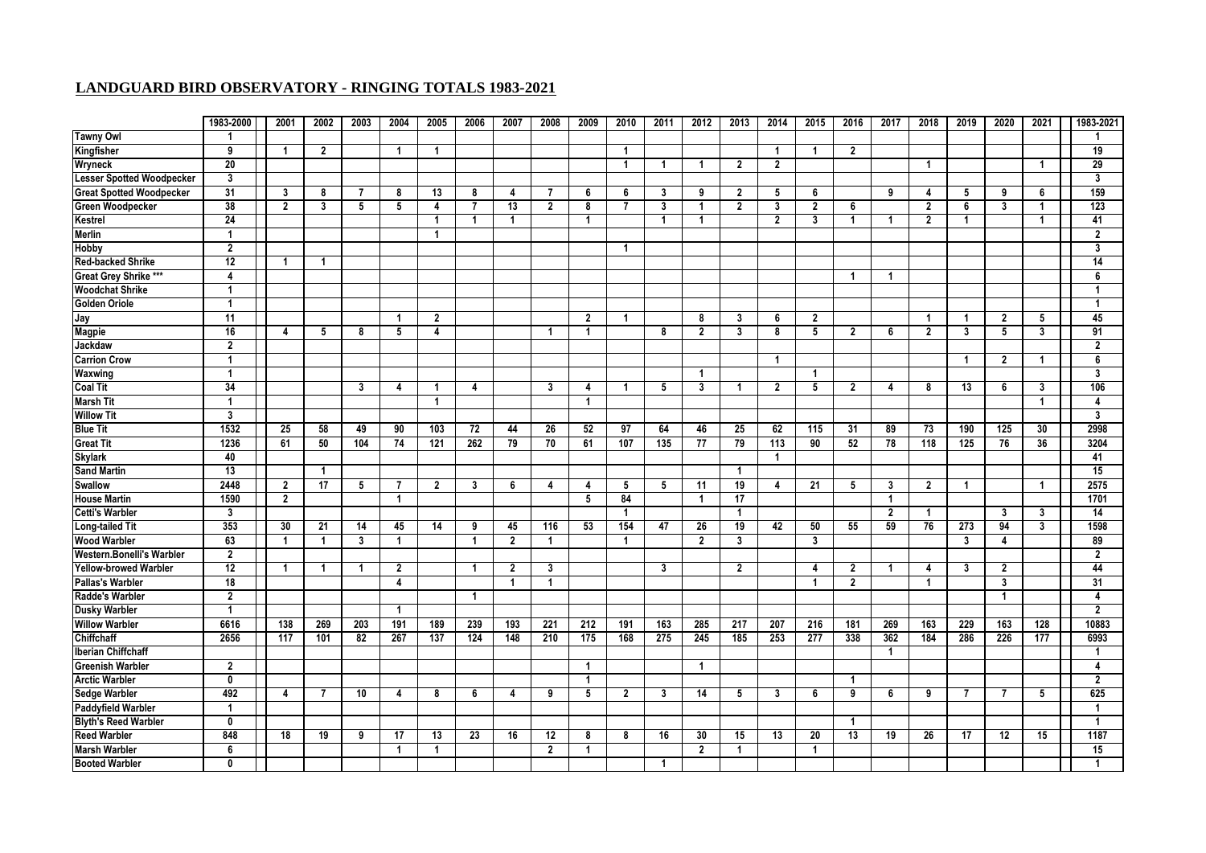|                                  | 1983-2000       | 2001           | 2002                 | 2003            | 2004             | 2005           | 2006             | 2007           | 2008           | 2009           | 2010           | 2011           | 2012            | 2013            | 2014                    | 2015           | 2016                    | 2017            | 2018           | 2019                    | 2020            | 2021 | 1983-2021               |
|----------------------------------|-----------------|----------------|----------------------|-----------------|------------------|----------------|------------------|----------------|----------------|----------------|----------------|----------------|-----------------|-----------------|-------------------------|----------------|-------------------------|-----------------|----------------|-------------------------|-----------------|------|-------------------------|
| <b>Tawny Owl</b>                 | -1              |                |                      |                 |                  |                |                  |                |                |                |                |                |                 |                 |                         |                |                         |                 |                |                         |                 |      |                         |
| Kingfisher                       | 9               | $\overline{1}$ | $\overline{2}$       |                 | $\overline{1}$   | $\mathbf{1}$   |                  |                |                |                | $\mathbf{1}$   |                |                 |                 | $\overline{1}$          | $\overline{1}$ | $\overline{2}$          |                 |                |                         |                 |      | 19                      |
| Wryneck                          | $\overline{20}$ |                |                      |                 |                  |                |                  |                |                |                | $\mathbf{1}$   | $\mathbf{1}$   | $\mathbf{1}$    | $\overline{2}$  | $\mathbf{2}$            |                |                         |                 | $\overline{1}$ |                         |                 | -1   | 29                      |
| <b>Lesser Spotted Woodpecker</b> | 3               |                |                      |                 |                  |                |                  |                |                |                |                |                |                 |                 |                         |                |                         |                 |                |                         |                 |      | 3                       |
| <b>Great Spotted Woodpecker</b>  | 31              | $\mathbf{3}$   | 8                    | $\overline{7}$  | 8                | 13             | 8                | 4              | $\overline{7}$ | 6              | 6              | 3              | 9               | $\overline{2}$  | 5                       | 6              |                         | 9               | $\overline{4}$ | 5                       | 9               | 6    | 159                     |
| <b>Green Woodpecker</b>          | 38              | $\overline{2}$ | 3                    | 5               | 5                | 4              | $\overline{7}$   | 13             | $\overline{2}$ | 8              | $\overline{7}$ | 3              | $\overline{1}$  | $\overline{2}$  | 3                       | $\overline{2}$ | 6                       |                 | $\overline{2}$ | 6                       | 3               | -1   | 123                     |
| Kestrel                          | 24              |                |                      |                 |                  | $\overline{1}$ |                  | 1              |                | $\overline{1}$ |                | $\overline{1}$ | $\overline{1}$  |                 | $\overline{\mathbf{2}}$ | 3              | $\overline{\mathbf{1}}$ | -1              | $\overline{2}$ | $\blacktriangleleft$    |                 | 1    | 41                      |
| <b>Merlin</b>                    | $\overline{1}$  |                |                      |                 |                  | $\overline{1}$ |                  |                |                |                |                |                |                 |                 |                         |                |                         |                 |                |                         |                 |      | $\overline{2}$          |
| Hobby                            | $\overline{2}$  |                |                      |                 |                  |                |                  |                |                |                | $\mathbf{1}$   |                |                 |                 |                         |                |                         |                 |                |                         |                 |      | 3                       |
| <b>Red-backed Shrike</b>         | 12              | $\overline{1}$ | 1                    |                 |                  |                |                  |                |                |                |                |                |                 |                 |                         |                |                         |                 |                |                         |                 |      | 14                      |
| Great Grey Shrike ***            | 4               |                |                      |                 |                  |                |                  |                |                |                |                |                |                 |                 |                         |                | 1                       | 1               |                |                         |                 |      | 6                       |
| <b>Woodchat Shrike</b>           | $\mathbf{1}$    |                |                      |                 |                  |                |                  |                |                |                |                |                |                 |                 |                         |                |                         |                 |                |                         |                 |      | -1                      |
| <b>Golden Oriole</b>             | $\overline{1}$  |                |                      |                 |                  |                |                  |                |                |                |                |                |                 |                 |                         |                |                         |                 |                |                         |                 |      | $\overline{1}$          |
| Jay                              | 11              |                |                      |                 | $\overline{1}$   | $\overline{2}$ |                  |                |                | $\overline{2}$ | $\mathbf 1$    |                | 8               | 3               | 6                       | $\overline{2}$ |                         |                 | $\overline{1}$ | $\overline{\mathbf{1}}$ | $\overline{2}$  | 5    | 45                      |
| <b>Magpie</b>                    | 16              | $\overline{4}$ | 5                    | 8               | 5                | 4              |                  |                | -1             | $\overline{1}$ |                | 8              | $\overline{2}$  | $\mathbf{3}$    | 8                       | $\overline{5}$ | $\overline{2}$          | 6               | $\overline{2}$ | 3                       | $5\phantom{.0}$ | 3    | 91                      |
| Jackdaw                          | $\overline{2}$  |                |                      |                 |                  |                |                  |                |                |                |                |                |                 |                 |                         |                |                         |                 |                |                         |                 |      | $\overline{2}$          |
| <b>Carrion Crow</b>              | $\mathbf{1}$    |                |                      |                 |                  |                |                  |                |                |                |                |                |                 |                 | $\overline{1}$          |                |                         |                 |                | 1                       | $\overline{2}$  | -1   | 6                       |
| Waxwing                          | $\mathbf{1}$    |                |                      |                 |                  |                |                  |                |                |                |                |                | $\overline{1}$  |                 |                         | -1             |                         |                 |                |                         |                 |      | 3                       |
| <b>Coal Tit</b>                  | 34              |                |                      | 3               | $\boldsymbol{A}$ | -1             | $\overline{4}$   |                | $\overline{3}$ | 4              | 1              | 5              | 3               | -1              | $\overline{2}$          | 5              | $\overline{2}$          | 4               | -8             | 13                      | 6               | 3    | 106                     |
| <b>Marsh Tit</b>                 | $\overline{1}$  |                |                      |                 |                  | $\overline{1}$ |                  |                |                | $\overline{1}$ |                |                |                 |                 |                         |                |                         |                 |                |                         |                 | -1   | $\overline{4}$          |
| <b>Willow Tit</b>                | 3               |                |                      |                 |                  |                |                  |                |                |                |                |                |                 |                 |                         |                |                         |                 |                |                         |                 |      | $\overline{\mathbf{3}}$ |
| <b>Blue Tit</b>                  | 1532            | 25             | 58                   | 49              | 90               | 103            | 72               | 44             | 26             | 52             | 97             | 64             | 46              | 25              | 62                      | 115            | 31                      | 89              | 73             | 190                     | 125             | 30   | 2998                    |
| <b>Great Tit</b>                 | 1236            | 61             | 50                   | 104             | $\overline{74}$  | 121            | $\overline{262}$ | 79             | 70             | 61             | 107            | 135            | $\overline{77}$ | $\overline{79}$ | 113                     | 90             | 52                      | $\overline{78}$ | 118            | 125                     | $\overline{76}$ | 36   | 3204                    |
| <b>Skylark</b>                   | 40              |                |                      |                 |                  |                |                  |                |                |                |                |                |                 |                 | $\overline{1}$          |                |                         |                 |                |                         |                 |      | 41                      |
| <b>Sand Martin</b>               | 13              |                |                      |                 |                  |                |                  |                |                |                |                |                |                 | $\mathbf{1}$    |                         |                |                         |                 |                |                         |                 |      | 15                      |
| <b>Swallow</b>                   | 2448            | $\overline{2}$ | $\overline{17}$      | 5               | 7                | $\overline{2}$ | 3                | 6              | $\overline{4}$ | $\overline{4}$ | 5              | 5              | $\overline{11}$ | $\overline{19}$ | 4                       | 21             | 5                       | 3               | $\overline{2}$ | -1                      |                 | -1   | 2575                    |
| <b>House Martin</b>              | 1590            | $\overline{2}$ |                      |                 | $\overline{1}$   |                |                  |                |                | 5              | 84             |                | -1              | 17              |                         |                |                         | $\mathbf{1}$    |                |                         |                 |      | 1701                    |
| <b>Cetti's Warbler</b>           | 3               |                |                      |                 |                  |                |                  |                |                |                | $\mathbf{1}$   |                |                 | $\overline{1}$  |                         |                |                         | $\mathbf{2}$    | $\overline{1}$ |                         | 3               | 3    | 14                      |
| <b>Long-tailed Tit</b>           | 353             | 30             | 21                   | 14              | 45               | 14             | 9                | 45             | 116            | 53             | 154            | 47             | 26              | 19              | 42                      | 50             | 55                      | 59              | 76             | $\overline{273}$        | 94              | 3    | 1598                    |
| <b>Wood Warbler</b>              | 63              | $\overline{1}$ | $\blacktriangleleft$ | 3               | $\overline{1}$   |                | -1               | $\overline{2}$ | -1             |                | $\mathbf{1}$   |                | $\overline{2}$  | 3               |                         | 3              |                         |                 |                | 3                       | 4               |      | 89                      |
| <b>Western.Bonelli's Warbler</b> | $\overline{2}$  |                |                      |                 |                  |                |                  |                |                |                |                |                |                 |                 |                         |                |                         |                 |                |                         |                 |      | $\overline{2}$          |
| <b>Yellow-browed Warbler</b>     | 12              | $\overline{1}$ | -1                   | -1              | $\overline{2}$   |                | $\mathbf 1$      | $\overline{2}$ | 3              |                |                | 3              |                 | $\overline{2}$  |                         | 4              | $\overline{2}$          | 1               | 4              | 3                       | $\overline{2}$  |      | 44                      |
| Pallas's Warbler                 | 18              |                |                      |                 | 4                |                |                  | $\overline{1}$ | $\overline{1}$ |                |                |                |                 |                 |                         | $\mathbf{1}$   | $\overline{2}$          |                 | $\overline{1}$ |                         | 3               |      | 31                      |
| <b>Radde's Warbler</b>           | $\overline{2}$  |                |                      |                 |                  |                | $\overline{1}$   |                |                |                |                |                |                 |                 |                         |                |                         |                 |                |                         | $\mathbf{1}$    |      | 4                       |
| <b>Dusky Warbler</b>             | $\mathbf{1}$    |                |                      |                 | $\overline{1}$   |                |                  |                |                |                |                |                |                 |                 |                         |                |                         |                 |                |                         |                 |      | $\overline{2}$          |
| <b>Willow Warbler</b>            | 6616            | 138            | 269                  | 203             | 191              | 189            | 239              | 193            | 221            | 212            | 191            | 163            | 285             | 217             | 207                     | 216            | 181                     | 269             | 163            | 229                     | 163             | 128  | 10883                   |
| <b>Chiffchaff</b>                | 2656            | 117            | 101                  | $\overline{82}$ | 267              | 137            | 124              | 148            | 210            | 175            | 168            | 275            | 245             | 185             | 253                     | 277            | 338                     | 362             | 184            | 286                     | 226             | 177  | 6993                    |
| Iberian Chiffchaff               |                 |                |                      |                 |                  |                |                  |                |                |                |                |                |                 |                 |                         |                |                         | $\mathbf{1}$    |                |                         |                 |      | -1                      |
| <b>Greenish Warbler</b>          | $\overline{2}$  |                |                      |                 |                  |                |                  |                |                | $\overline{1}$ |                |                | $\overline{1}$  |                 |                         |                |                         |                 |                |                         |                 |      | 4                       |
| <b>Arctic Warbler</b>            | $\mathbf 0$     |                |                      |                 |                  |                |                  |                |                | $\overline{1}$ |                |                |                 |                 |                         |                | 1                       |                 |                |                         |                 |      | $\overline{2}$          |
| <b>Sedge Warbler</b>             | 492             | 4              | -7                   | 10              | 4                | 8              | 6                | 4              | 9              | 5              | $\mathbf{2}$   | 3              | 14              | 5               | 3                       | 6              | $\overline{9}$          | 6               | 9              | $\overline{7}$          | $\overline{7}$  | 5    | 625                     |
| Paddyfield Warbler               | $\mathbf{1}$    |                |                      |                 |                  |                |                  |                |                |                |                |                |                 |                 |                         |                |                         |                 |                |                         |                 |      | $\mathbf{1}$            |
| <b>Blyth's Reed Warbler</b>      | $\mathbf{0}$    |                |                      |                 |                  |                |                  |                |                |                |                |                |                 |                 |                         |                | $\overline{1}$          |                 |                |                         |                 |      | $\overline{\mathbf{1}}$ |
| <b>Reed Warbler</b>              | 848             | 18             | 19                   | 9               | 17               | 13             | $\overline{23}$  | 16             | 12             | 8              | 8              | 16             | 30              | 15              | 13                      | 20             | 13                      | 19              | 26             | 17                      | $\overline{12}$ | 15   | 1187                    |
| <b>Marsh Warbler</b>             | 6               |                |                      |                 | -1               | $\overline{1}$ |                  |                | $\mathbf{2}$   | $\overline{1}$ |                |                | $\overline{2}$  | $\mathbf{1}$    |                         | $\overline{1}$ |                         |                 |                |                         |                 |      | 15                      |
| <b>Booted Warbler</b>            | $\mathbf{0}$    |                |                      |                 |                  |                |                  |                |                |                |                | $\mathbf{1}$   |                 |                 |                         |                |                         |                 |                |                         |                 |      | -1                      |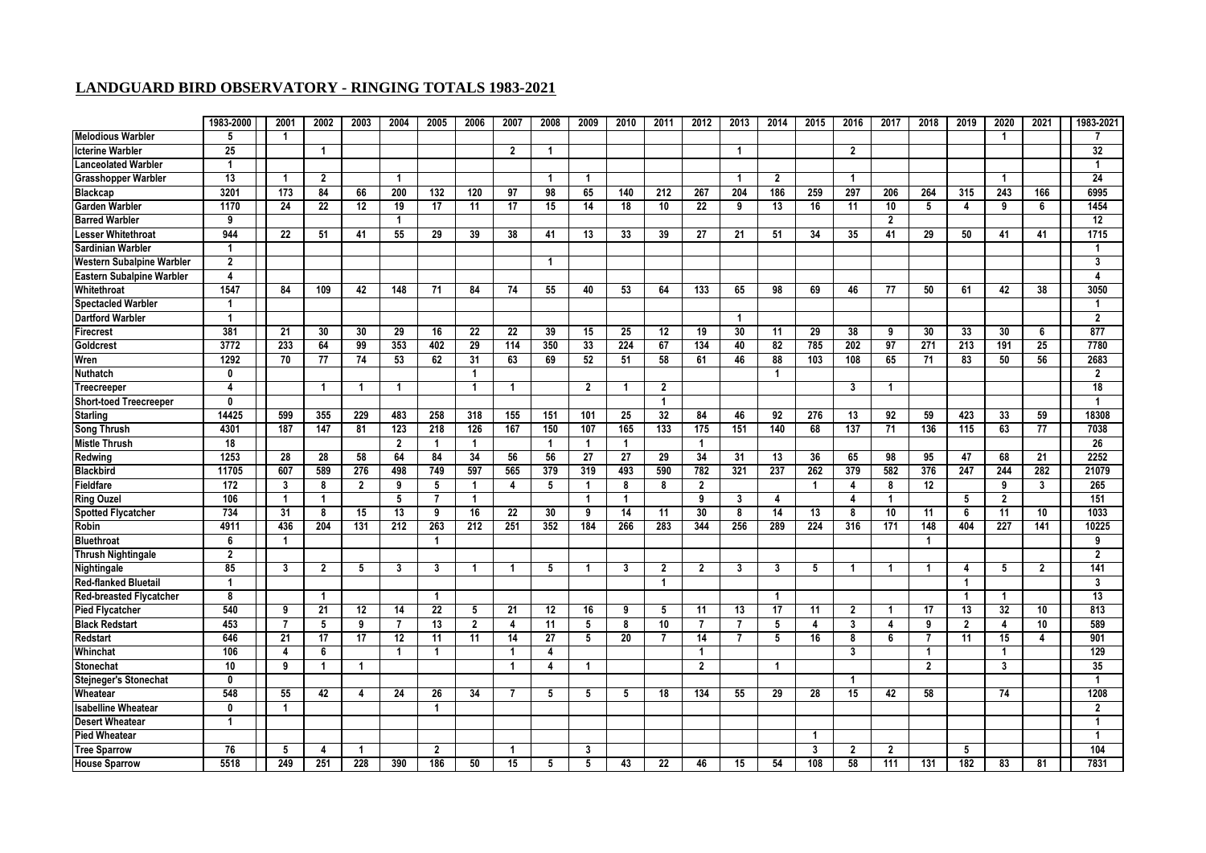|                                  | 1983-2000        | 2001           | 2002           | 2003           | 2004           | 2005                    | 2006                    | 2007           | 2008            | 2009           | 2010                     | 2011           | 2012           | 2013           | 2014             | 2015                    | 2016           | 2017           | 2018           | 2019           | 2020           | 2021         | 1983-2021      |
|----------------------------------|------------------|----------------|----------------|----------------|----------------|-------------------------|-------------------------|----------------|-----------------|----------------|--------------------------|----------------|----------------|----------------|------------------|-------------------------|----------------|----------------|----------------|----------------|----------------|--------------|----------------|
| Melodious Warbler                | 5                | -1             |                |                |                |                         |                         |                |                 |                |                          |                |                |                |                  |                         |                |                |                |                | 1              |              |                |
| <b>Icterine Warbler</b>          | 25               |                |                |                |                |                         |                         | $\overline{2}$ | -1              |                |                          |                |                | $\overline{1}$ |                  |                         | $\overline{2}$ |                |                |                |                |              | 32             |
| <b>Lanceolated Warbler</b>       | $\overline{1}$   |                |                |                |                |                         |                         |                |                 |                |                          |                |                |                |                  |                         |                |                |                |                |                |              |                |
| <b>Grasshopper Warbler</b>       | 13               | $\mathbf{1}$   | $\overline{2}$ |                | $\overline{1}$ |                         |                         |                | -1              | $\overline{1}$ |                          |                |                | $\overline{1}$ | $\overline{2}$   |                         | $\overline{1}$ |                |                |                | 1              |              | 24             |
| <b>Blackcap</b>                  | 3201             | 173            | 84             | 66             | 200            | 132                     | 120                     | 97             | 98              | 65             | 140                      | 212            | 267            | 204            | 186              | 259                     | 297            | 206            | 264            | 315            | 243            | 166          | 6995           |
| <b>Garden Warbler</b>            | 1170             | 24             | 22             | 12             | 19             | 17                      | 11                      | 17             | 15              | 14             | 18                       | 10             | 22             | 9              | 13               | 16                      | 11             | 10             | 5              | $\overline{4}$ | 9              | 6            | 1454           |
| <b>Barred Warbler</b>            | 9                |                |                |                | 1              |                         |                         |                |                 |                |                          |                |                |                |                  |                         |                | $\overline{2}$ |                |                |                |              | 12             |
| <b>Lesser Whitethroat</b>        | 944              | 22             | 51             | 41             | 55             | 29                      | 39                      | 38             | 41              | 13             | 33                       | 39             | 27             | 21             | 51               | 34                      | 35             | 41             | 29             | 50             | 41             | 41           | 1715           |
| <b>Sardinian Warbler</b>         | -1               |                |                |                |                |                         |                         |                |                 |                |                          |                |                |                |                  |                         |                |                |                |                |                |              |                |
| <b>Western Subalpine Warbler</b> | $\overline{2}$   |                |                |                |                |                         |                         |                | $\overline{1}$  |                |                          |                |                |                |                  |                         |                |                |                |                |                |              | 3              |
| Eastern Subalpine Warbler        | $\overline{4}$   |                |                |                |                |                         |                         |                |                 |                |                          |                |                |                |                  |                         |                |                |                |                |                |              | 4              |
| Whitethroat                      | 1547             | 84             | 109            | 42             | 148            | 71                      | 84                      | 74             | 55              | 40             | 53                       | 64             | 133            | 65             | 98               | 69                      | 46             | 77             | 50             | 61             | 42             | 38           | 3050           |
| <b>Spectacled Warbler</b>        | $\overline{1}$   |                |                |                |                |                         |                         |                |                 |                |                          |                |                |                |                  |                         |                |                |                |                |                |              | -1             |
| <b>Dartford Warbler</b>          | $\overline{1}$   |                |                |                |                |                         |                         |                |                 |                |                          |                |                | $\overline{1}$ |                  |                         |                |                |                |                |                |              | $\overline{2}$ |
| <b>Firecrest</b>                 | 381              | 21             | 30             | 30             | 29             | 16                      | 22                      | 22             | 39              | 15             | 25                       | 12             | 19             | 30             | 11               | 29                      | 38             | 9              | 30             | 33             | 30             | 6            | 877            |
| Goldcrest                        | 3772             | 233            | 64             | 99             | 353            | 402                     | 29                      | 114            | 350             | 33             | 224                      | 67             | 134            | 40             | 82               | 785                     | 202            | 97             | 271            | 213            | 191            | 25           | 7780           |
| Wren                             | 1292             | 70             | 77             | 74             | 53             | 62                      | 31                      | 63             | 69              | 52             | 51                       | 58             | 61             | 46             | 88               | 103                     | 108            | 65             | 71             | 83             | 50             | 56           | 2683           |
| <b>Nuthatch</b>                  | 0                |                |                |                |                |                         | $\overline{\mathbf{1}}$ |                |                 |                |                          |                |                |                | 1                |                         |                |                |                |                |                |              | $\overline{2}$ |
| Treecreeper                      | $\boldsymbol{4}$ |                |                |                | 1              |                         | $\overline{1}$          | -1             |                 | $\overline{2}$ | $\overline{\phantom{a}}$ | $\mathbf{2}$   |                |                |                  |                         | 3              | 1              |                |                |                |              | 18             |
| Short-toed Treecreeper           | $\mathbf{0}$     |                |                |                |                |                         |                         |                |                 |                |                          | -1             |                |                |                  |                         |                |                |                |                |                |              |                |
| <b>Starling</b>                  | 14425            | 599            | 355            | 229            | 483            | 258                     | 318                     | 155            | 151             | 101            | 25                       | 32             | 84             | 46             | 92               | 276                     | 13             | 92             | 59             | 423            | 33             | 59           | 18308          |
| <b>Song Thrush</b>               | 4301             | 187            | 147            | 81             | 123            | 218                     | 126                     | 167            | 150             | 107            | 165                      | 133            | 175            | 151            | 140              | 68                      | 137            | 71             | 136            | 115            | 63             | 77           | 7038           |
| <b>Mistle Thrush</b>             | 18               |                |                |                | $\mathbf{2}$   | -1                      | $\overline{1}$          |                | $\mathbf 1$     | $\overline{1}$ | -1                       |                | $\mathbf 1$    |                |                  |                         |                |                |                |                |                |              | 26             |
| Redwing                          | 1253             | 28             | 28             | 58             | 64             | 84                      | 34                      | 56             | 56              | 27             | 27                       | 29             | 34             | 31             | 13               | 36                      | 65             | 98             | 95             | 47             | 68             | 21           | 2252           |
| <b>Blackbird</b>                 | 11705            | 607            | 589            | 276            | 498            | 749                     | 597                     | 565            | 379             | 319            | 493                      | 590            | 782            | 321            | $\overline{237}$ | 262                     | 379            | 582            | 376            | 247            | 244            | 282          | 21079          |
| Fieldfare                        | 172              | 3              | 8              | $\overline{2}$ | 9              | 5                       | $\mathbf{1}$            | 4              | 5               | $\mathbf{1}$   | 8                        | 8              | $\overline{2}$ |                |                  | -1                      | 4              | 8              | 12             |                | 9              | 3            | 265            |
| <b>Ring Ouzel</b>                | 106              | $\overline{1}$ | $\overline{1}$ |                | 5              | $\overline{7}$          | $\overline{1}$          |                |                 | $\overline{1}$ | $\mathbf{1}$             |                | 9              | 3              | 4                |                         | $\overline{4}$ | $\mathbf{1}$   |                | 5              | $\overline{2}$ |              | 151            |
| <b>Spotted Flycatcher</b>        | 734              | 31             | 8              | 15             | 13             | 9                       | 16                      | 22             | 30              | 9              | 14                       | 11             | 30             | 8              | 14               | 13                      | 8              | 10             | 11             | 6              | 11             | 10           | 1033           |
| Robin                            | 4911             | 436            | 204            | 131            | 212            | 263                     | 212                     | 251            | 352             | 184            | 266                      | 283            | 344            | 256            | 289              | 224                     | 316            | 171            | 148            | 404            | 227            | 141          | 10225          |
| <b>Bluethroat</b>                | 6                | $\overline{1}$ |                |                |                | -1                      |                         |                |                 |                |                          |                |                |                |                  |                         |                |                | $\overline{1}$ |                |                |              | 9              |
| Thrush Nightingale               | $\overline{2}$   |                |                |                |                |                         |                         |                |                 |                |                          |                |                |                |                  |                         |                |                |                |                |                |              | $\overline{2}$ |
| <b>Nightingale</b>               | 85               | 3              | $\overline{2}$ | 5              | 3              | 3                       | $\mathbf 1$             | 1              | 5               | $\mathbf{1}$   | 3                        | $\mathbf{2}$   | $\overline{2}$ | 3              | 3                | 5                       | -1             | 1              | -1             | 4              | 5              | $\mathbf{2}$ | 141            |
| <b>Red-flanked Bluetail</b>      | -1               |                |                |                |                |                         |                         |                |                 |                |                          | -1             |                |                |                  |                         |                |                |                | -1             |                |              | 3              |
| <b>Red-breasted Flycatcher</b>   | 8                |                | -1             |                |                | -1                      |                         |                |                 |                |                          |                |                |                | -1               |                         |                |                |                | -1             | 1              |              | 13             |
| <b>Pied Flycatcher</b>           | 540              | 9              | 21             | 12             | 14             | 22                      | 5                       | 21             | 12              | 16             | 9                        | 5              | 11             | 13             | 17               | 11                      | $\overline{2}$ | 1              | 17             | 13             | 32             | 10           | 813            |
| <b>Black Redstart</b>            | 453              | $\overline{7}$ | 5              | 9              | $\overline{7}$ | 13                      | $\overline{2}$          | 4              | 11              | 5              | 8                        | 10             | 7              | $\overline{7}$ | 5                | 4                       | 3              | 4              | 9              | $\overline{2}$ | 4              | 10           | 589            |
| <b>Redstart</b>                  | 646              | 21             | 17             | 17             | 12             | 11                      | 11                      | 14             | $\overline{27}$ | 5              | 20                       | $\overline{7}$ | 14             | $\overline{7}$ | 5                | 16                      | 8              | 6              | $\overline{7}$ | 11             | 15             | 4            | 901            |
| Whinchat                         | 106              | 4              | 6              |                | 1              | -1                      |                         | -1             | 4               |                |                          |                | $\mathbf{1}$   |                |                  |                         | 3              |                | -1             |                | 1              |              | 129            |
| Stonechat                        | 10               | 9              | $\mathbf{1}$   | -1             |                |                         |                         | $\mathbf 1$    | 4               | $\overline{1}$ |                          |                | $\overline{2}$ |                | 1                |                         |                |                | $\mathbf{2}$   |                | 3              |              | 35             |
| <b>Stejneger's Stonechat</b>     | $\mathbf{0}$     |                |                |                |                |                         |                         |                |                 |                |                          |                |                |                |                  |                         | -1             |                |                |                |                |              | -1             |
| Wheatear                         | 548              | 55             | 42             | 4              | 24             | 26                      | 34                      | $\overline{7}$ | 5               | 5              | 5                        | 18             | 134            | 55             | 29               | 28                      | 15             | 42             | 58             |                | 74             |              | 1208           |
| <b>Isabelline Wheatear</b>       | $\mathbf{0}$     | $\overline{1}$ |                |                |                | 1                       |                         |                |                 |                |                          |                |                |                |                  |                         |                |                |                |                |                |              | $\overline{2}$ |
| <b>Desert Wheatear</b>           | 1                |                |                |                |                |                         |                         |                |                 |                |                          |                |                |                |                  |                         |                |                |                |                |                |              |                |
| <b>Pied Wheatear</b>             |                  |                |                |                |                |                         |                         |                |                 |                |                          |                |                |                |                  | $\overline{\mathbf{1}}$ |                |                |                |                |                |              | $\mathbf 1$    |
| <b>Tree Sparrow</b>              | 76               | 5              | 4              | -1             |                | $\overline{\mathbf{2}}$ |                         | -1             |                 | 3              |                          |                |                |                |                  | 3                       | $\overline{2}$ | $\overline{2}$ |                | 5              |                |              | 104            |
| <b>House Sparrow</b>             | 5518             | 249            | 251            | 228            | 390            | 186                     | 50                      | 15             | 5               | 5              | 43                       | 22             | 46             | 15             | 54               | 108                     | 58             | 111            | 131            | 182            | 83             | 81           | 7831           |